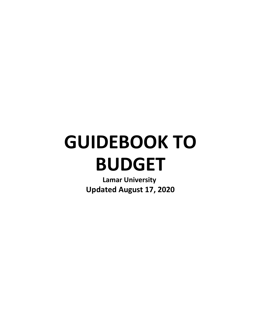# **GUIDEBOOK TO BUDGET**

**Lamar University Updated August 17, 2020**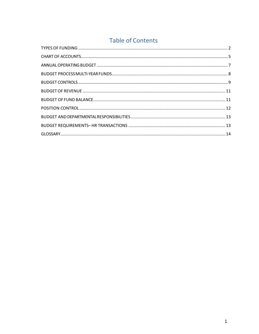## **Table of Contents**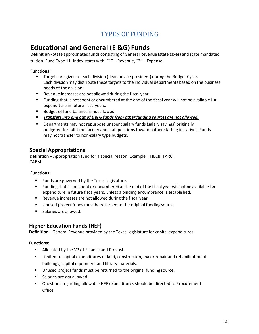# **TYPES OF FUNDING**

# <span id="page-2-0"></span>**Educational and General (E &G) Funds**

**Definition ‐** State appropriated funds consisting of General Revenue (state taxes) and state mandated tuition. Fund Type 11. Index starts with: "1" – Revenue, "2" – Expense.

#### **Functions:**

- Targets are given to each division (dean or vice president) during the Budget Cycle. Each divisionmay distribute these targetsto the individual departments based on the business needs of the division.
- **Revenue increases are not allowed during the fiscal year.**
- Funding that is not spent or encumbered at the end of the fiscal year will not be available for expenditure in future fiscalyears.
- Budget of fund balance is notallowed.
- *Transfersinto and out of E & G funds from other funding sources are not allowed.*
- Departments may not repurpose unspent salary funds (salary savings) originally budgeted for full-time faculty and staff positions towards other staffing initiatives. Funds may not transfer to non-salary type budgets.

## **Special Appropriations**

**Definition** – Appropriation fund for a special reason. Example: THECB, TARC, CAPM

#### **Functions:**

- **Funds are governed by the Texas Legislature.**
- Funding that is not spent or encumbered at the end of the fiscal year will not be available for expenditure in future fiscalyears, unless a binding encumbrance is established.
- Revenue increases are not allowed during the fiscal year.
- Unused project funds must be returned to the original funding source.
- Salaries are allowed.

## **Higher Education Funds (HEF)**

**Definition** – General Revenue provided by the Texas Legislature for capital expenditures

#### **Functions:**

- **Allocated by the VP of Finance and Provost.**
- **EXT** Limited to capital expenditures of land, construction, major repair and rehabilitation of buildings, capital equipment and library materials.
- **Unused project funds must be returned to the original funding source.**
- **Salaries are** *not* **allowed.**
- **ULE 20** Questions regarding allowable HEF expenditures should be directed to Procurement Office.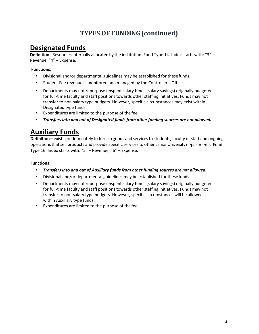# **TYPES OF FUNDING(continued)**

## **Designated Funds**

**Definition** - Resourcesinternally allocated by the institution. Fund Type 14. Index starts with: "3" – Revenue, "4" – Expense.

#### **Functions:**

- Divisional and/or departmental guidelines may be established for thesefunds.
- Student Fee revenue is monitored and managed by the Controller's Office.
- Departments may not repurpose unspent salary funds (salary savings) originally budgeted for full-time faculty and staff positions towards other staffing initiatives. Funds may not transfer to non-salary type budgets. However, specific circumstances may exist within Designated type funds.
- Expenditures are limited to the purpose of the fee.
- *Transfers into and out of Designated funds from other funding sources are not allowed.*

# **Auxiliary Funds**

**Definition** – exists predominately to furnish goods and services to students, faculty or staff and ongoing operationsthat sell products and provide specific servicesto other LamarUniversity departments. Fund Type 16. Index starts with: "5" – Revenue, "6" – Expense.

#### **Functions:**

- *Transfers into and out of Auxiliary funds from other funding sources are not allowed.*
- Divisional and/or departmental guidelines may be established for these funds.
- Departments may not repurpose unspent salary funds (salary savings) originally budgeted for full-time faculty and staff positions towards other staffing initiatives. Funds may not transfer to non-salary type budgets. However, specific circumstances will be allowed within Auxiliary type funds.
- Expenditures are limited to the purpose of the fee.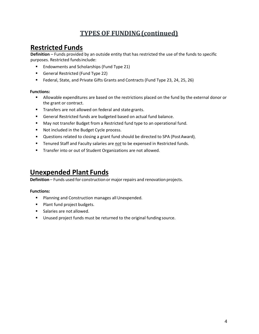# **TYPES OF FUNDING(continued)**

## **Restricted Funds**

**Definition** – Funds provided by an outside entity that has restricted the use of the funds to specific purposes. Restricted fundsinclude:

- **Endowments and Scholarships (Fund Type 21)**
- General Restricted (Fund Type 22)
- Federal, State, and Private Gifts Grants and Contracts (Fund Type 23, 24, 25, 26)

#### **Functions:**

- Allowable expenditures are based on the restrictions placed on the fund by the external donor or the grant or contract.
- **Transfers are not allowed on federal and state grants.**
- General Restricted funds are budgeted based on actual fund balance.
- May not transfer Budget from a Restricted fund type to an operational fund.
- Not included in the Budget Cycle process.
- Questions related to closing a grant fund should be directed to SPA (PostAward).
- **Tenured Staff and Faculty salaries are** *not* **to be expensed in Restricted funds.**
- **Transfer into or out of Student Organizations are not allowed.**

## **Unexpended Plant Funds**

**Definition** – Funds used for construction or major repairs and renovation projects.

#### **Functions:**

- **Planning and Construction manages all Unexpended.**
- **Plant fund project budgets.**
- **Salaries are not allowed.**
- **Unused project funds must be returned to the original funding source.**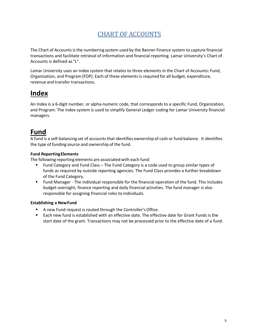# CHART OF ACCOUNTS

<span id="page-5-0"></span>The Chart of Accountsis the numbering system used by the Banner Finance system to capture financial transactions and facilitate retrieval of information and financial reporting. Lamar University's Chart of Accounts is defined as "L".

Lamar University uses an Index system that relates to three elements in the Chart of Accounts: Fund, Organization, and Program (FOP). Each of these elementsis required for all budget, expenditure, revenue and transfer transactions.

# **Index**

An Index is a 6-digit number, or alpha-numeric code, that corresponds to a specific Fund, Organization, and Program. The Index system is used to simplify General Ledger coding for Lamar University financial managers.

# **Fund**

A fund is a self-balancing set of accountsthat identifies ownership of cash or fund balance. It identifies the type of funding source and ownership of the fund.

#### **Fund ReportingElements**

The following reporting elements are associated with each fund:

- Fund Category and Fund Class The Fund Category is a code used to group similar types of funds as required by outside reporting agencies. The Fund Class provides a further breakdown of the Fund Category.
- Fund Manager The individual responsible for the financial operation of the fund. This includes budget oversight, finance reporting and daily financial activities. The fund manager is also responsible for assigning financial roles to individuals.

#### **Establishing a NewFund**

- A new Fund request is routed through the Controller'sOffice.
- Each new fund is established with an effective date. The effective date for Grant Funds is the start date of the grant. Transactions may not be processed prior to the effective date of a fund.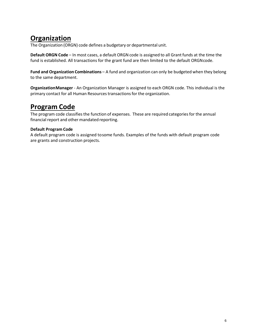# **Organization**

The Organization (ORGN) code defines a budgetary or departmental unit.

**Default ORGN Code** – In most cases, a default ORGN code is assigned to all Grant funds at the time the fund is established. All transactions for the grant fund are then limited to the default ORGNcode.

**Fund and Organization Combinations** – A fund and organization can only be budgeted when they belong to the same department.

**OrganizationManager** - An Organization Manager is assigned to each ORGN code. This individual is the primary contact for all Human Resources transactions for the organization.

# **Program Code**

The program code classifies the function of expenses. These are required categories for the annual financial report and other mandated reporting.

#### **Default Program Code**

A default program code is assigned tosome funds. Examples of the funds with default program code are grants and construction projects.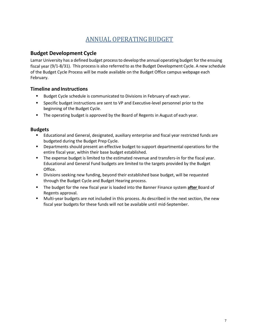## ANNUAL OPERATINGBUDGET

## <span id="page-7-0"></span>**Budget Development Cycle**

Lamar University has a defined budget processto develop the annual operating budget forthe ensuing fiscal year (9/1-8/31). This processis also referred to as the Budget Development Cycle. A new schedule of the Budget Cycle Process will be made available on the Budget Office campus webpage each February.

#### **Timeline and Instructions**

- Budget Cycle schedule is communicated to Divisions in February of each year.
- Specific budget instructions are sent to VP and Executive-level personnel prior to the beginning of the Budget Cycle.
- **The operating budget is approved by the Board of Regents in August of each year.**

#### **Budgets**

- Educational and General, designated, auxiliary enterprise and fiscal year restricted funds are budgeted during the Budget Prep Cycle.
- Departments should present an effective budget to support departmental operations for the entire fiscal year, within their base budget established.
- The expense budget is limited to the estimated revenue and transfers-in for the fiscal year. Educational and General Fund budgets are limited to the targets provided by the Budget Office.
- Divisions seeking new funding, beyond their established base budget, will be requested through the Budget Cycle and Budget Hearing process.
- The budget for the new fiscal year is loaded into the Banner Finance system **after** Board of Regents approval.
- Multi-year budgets are not included in this process. As described in the next section, the new fiscal year budgets for these funds will not be available until mid-September.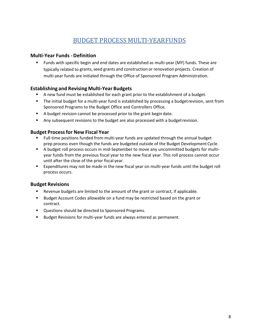## BUDGET PROCESS MULTI-YEARFUNDS

#### <span id="page-8-0"></span>**Multi-Year Funds -Definition**

 Funds with specific begin and end dates are established as multi-year (MY) funds. These are typically related to grants, seed grants and construction or renovation projects. Creation of multi-year funds are initiated through the Office of Sponsored Program Administration.

#### **Establishing and Revising Multi-Year Budgets**

- A new fund must be established for each grant prior to the establishment of a budget.
- The initial budget for a multi-year fund is established by processing a budgetrevision, sent from Sponsored Programs to the Budget Office and Controllers Office.
- A budget revision cannot be processed prior to the grant begin date.
- Any subsequent revisions to the budget are also processed with a budget revision.

#### **Budget Processfor New Fiscal Year**

- Full-time positions funded from multi-year funds are updated through the annual budget prep process even though the funds are budgeted outside of the Budget Development Cycle.
- A budget roll process occurs in mid-September to move any uncommitted budgets for multiyear funds from the previous fiscal year to the new fiscal year. This roll process cannot occur until after the close of the prior fiscal year.
- Expenditures may not be made in the new fiscal year on multi-year funds until the budget roll process occurs.

## **Budget Revisions**

- Revenue budgets are limited to the amount of the grant or contract, if applicable.
- Budget Account Codes allowable on a fund may be restricted based on the grant or contract.
- Questions should be directed to Sponsored Programs.
- <span id="page-8-1"></span>**Budget Revisions for multi-year funds are always entered as permanent.**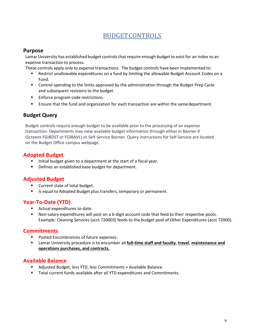## BUDGETCONTROLS

#### **Purpose**

Lamar University has established budget controls that require enough budget to exist for an Index so an expense transaction to process.

These controls apply only to expense transactions. The budget controls have been implemented to:

- Restrict unallowable expenditures on a fund by limiting the allowable Budget Account Codes on a Fund.
- **Control spending to the limits approved by the administration through the Budget Prep Cycle** and subsequent revisions to the budget.
- **Enforce program code restrictions.**
- **Ensure that the fund and organization for each transaction are within the same department.**

## **Budget Query**

Budget controls require enough budget to be available prior to the processing of an expense transaction. Departments may view available budget information through either in Banner 9 (Screens FGIBDST or FGIBAVL) or Self-Service Banner. Query instructions for Self-Service are located on the Budget Office campus webpage.

## **Adopted Budget**

- Initial budget given to a department at the start of a fiscal year.
- Defines an established base budget for department.

## **Adjusted Budget**

- **Current state of total budget.**
- Is equal to Adopted Budget plus transfers, temporary or permanent.

#### **Year-To-Date (YTD)**

- **Actual expenditures to-date.**
- Non-salary expenditures will post on a 6-digit account code that feed to their respective pools. Example: Cleaning Services (acct 720003) feeds to the budget pool of Other Expenditures (acct 72000).

#### **Commitments**

- **Posted Encumbrances of future expenses.**
- Lamar University procedure is to encumber all **full-time staff and faculty**, **travel**, **maintenance and operations purchases, and contracts.**

#### **Available Balance**

- Adjusted Budget, less YTD, less Commitments = Available Balance
- Total current funds available after all YTD expenditures and Commitments.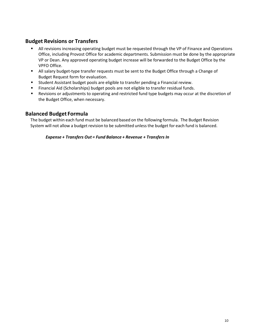## **Budget Revisions or Transfers**

- All revisions increasing operating budget must be requested through the VP of Finance and Operations Office, including Provost Office for academic departments. Submission must be done by the appropriate VP or Dean. Any approved operating budget increase will be forwarded to the Budget Office by the VPFO Office.
- All salary budget-type transfer requests must be sent to the Budget Office through a Change of Budget Request form for evaluation.
- Student Assistant budget pools are eligible to transfer pending a Financial review.
- Financial Aid (Scholarships) budget pools are not eligible to transfer residual funds.
- Revisions or adjustments to operating and restricted fund type budgets may occur at the discretion of the Budget Office, when necessary.

#### **Balanced Budget Formula**

The budget within each fund must be balanced based on the following formula. The Budget Revision System will not allow a budget revision to be submitted unlessthe budget for each fund is balanced.

#### *Expense + Transfers Out = Fund Balance + Revenue + Transfers In*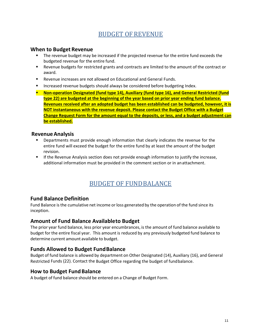## BUDGET OF REVENUE

#### <span id="page-11-0"></span>**When to Budget Revenue**

- **The revenue budget may be increased if the projected revenue for the entire fund exceeds the** budgeted revenue for the entire fund.
- Revenue budgets for restricted grants and contracts are limited to the amount of the contract or award.
- Revenue increases are not allowed on Educational and General Funds.
- Increased revenue budgets should always be considered before budgeting Index.
- **Non-operation Designated (fund type 14), Auxiliary (fund type 16), and General Restricted (fund type 22) are budgeted at the beginning of the year based on prior year ending fund balance. Revenues received after an adopted budget has been established can be budgeted, however, it is NOT instantaneous with the revenue deposit. Please contact the Budget Office with a Budget Change Request Form for the amount equal to the deposits, or less, and a budget adjustment can be established.**

#### **RevenueAnalysis**

- **•** Departments must provide enough information that clearly indicates the revenue for the entire fund will exceed the budget for the entire fund by at least the amount of the budget revision.
- **If the Revenue Analysis section does not provide enough information to justify the increase,** additional information must be provided in the comment section or in anattachment.

## BUDGET OF FUNDBALANCE

## <span id="page-11-1"></span>**Fund BalanceDefinition**

Fund Balance is the cumulative net income or loss generated by the operation of the fund since its inception.

#### **Amount of Fund Balance Availableto Budget**

The prior year fund balance, less prior year encumbrances, is the amount of fund balance available to budget for the entire fiscal year. This amount is reduced by any previously budgeted fund balance to determine current amount available to budget.

#### **Funds Allowed to Budget FundBalance**

Budget of fund balance is allowed by department on Other Designated (14), Auxiliary (16), and General Restricted Funds (22). Contact the Budget Office regarding the budget of fundbalance.

#### **How to Budget Fund Balance**

A budget of fund balance should be entered on a Change of Budget Form.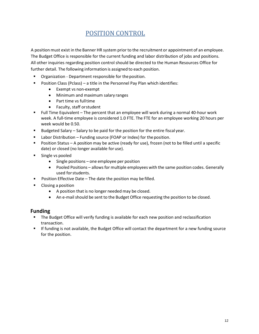## POSITION CONTROL

<span id="page-12-0"></span>A position must exist in the Banner HR system prior to the recruitment or appointment of an employee. The Budget Office is responsible for the current funding and labor distribution of jobs and positions. All other inquiries regarding position control should be directed to the Human Resources Office for further detail. The following information is assigned to each position.

- Organization Department responsible for the position.
- Position Class (Pclass) a title in the Personnel Pay Plan which identifies:
	- Exempt vs non-exempt
	- Minimum and maximum salary ranges
	- Part time vs fulltime
	- Faculty, staff orstudent
- Full Time Equivalent The percent that an employee will work during a normal 40-hour work week. A full-time employee is considered 1.0 FTE. The FTE for an employee working 20 hours per week would be 0.50.
- Budgeted Salary Salary to be paid for the position for the entire fiscal year.
- $\blacksquare$  Labor Distribution Funding source (FOAP or Index) for the position.
- **Position Status A position may be active (ready for use), frozen (not to be filled until a specific** date) or closed (no longer available for use).
- **Single vs pooled** 
	- Single positions one employee per position
	- Pooled Positions allows for multiple employees with the same position codes. Generally used forstudents.
- **Position Effective Date The date the position may be filled.**
- **Closing a position** 
	- A position that is no longer needed may be closed.
	- An e-mail should be sent to the Budget Office requesting the position to be closed.

## **Funding**

- **The Budget Office will verify funding is available for each new position and reclassification** transaction.
- If funding is not available, the Budget Office will contact the department for a new funding source for the position.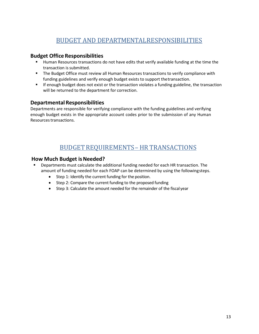## BUDGET AND DEPARTMENTALRESPONSIBILITIES

#### <span id="page-13-0"></span>**Budget Office Responsibilities**

- Human Resources transactions do not have edits that verify available funding at the time the transaction is submitted.
- **The Budget Office must review all Human Resources transactions to verify compliance with** funding guidelines and verify enough budget exists to support thetransaction.
- **If enough budget does not exist or the transaction violates a funding guideline, the transaction** will be returned to the department for correction.

## **Departmental Responsibilities**

Departments are responsible for verifying compliance with the funding guidelines and verifying enough budget exists in the appropriate account codes prior to the submission of any Human Resources transactions.

## BUDGETREQUIREMENTS– HR TRANSACTIONS

#### <span id="page-13-1"></span>**How Much Budget isNeeded?**

- Departments must calculate the additional funding needed for each HR transaction. The amount of funding needed for each FOAP can be determined by using the followingsteps.
	- Step 1: Identify the current funding for the position.
	- Step 2: Compare the current funding to the proposed funding
	- Step 3: Calculate the amount needed for the remainder of the fiscal year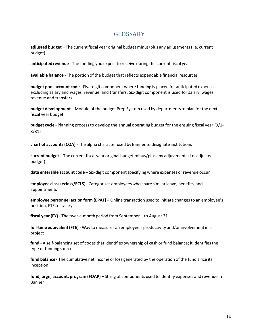## GLOSSARY

<span id="page-14-0"></span>**adjusted budget** – The current fiscal year original budget minus/plus any adjustments(i.e. current budget)

**anticipated revenue** - The funding you expect to receive during the current fiscal year

**available balance** - The portion of the budget that reflects expendable financialresources

**budget pool account code ‐** Five-digit component where funding is placed for anticipated expenses excluding salary and wages, revenue, and transfers. Six-digit component is used for salary, wages, revenue and transfers.

**budget development** – Module of the budget Prep System used by departmentsto plan for the next fiscal year budget

**budget cycle** - Planning processto develop the annual operating budget for the ensuing fiscal year (9/1- 8/31)

**chart of accounts(COA)** - The alpha character used by Banner to designate institutions

**current budget** – The current fiscal year original budget minus/plus any adjustments(i.e. adjusted budget)

**data enterable account code** – Six-digit component specifying where expenses or revenue occur

**employee class(eclass/ECLS) ‐** Categorizes employeeswho share similarleave, benefits, and appointments

**employee personnel action form (EPAF) –** Online transaction used to initiate changesto an employee's position, FTE, orsalary

**fiscal year (FY) ‐** The twelve-month period from September 1 to August 31.

**full‐time equivalent(FTE) ‐** Way to measures an employee's productivity and/or involvementin a project

fund - A self-balancing set of codes that identifies ownership of cash or fund balance; it identifies the type of fundingsource

**fund balance** - The cumulative net income or loss generated by the operation of the fund since its inception

**fund, orgn, account, program (FOAP) –** String of components used to identify expenses and revenue in Banner